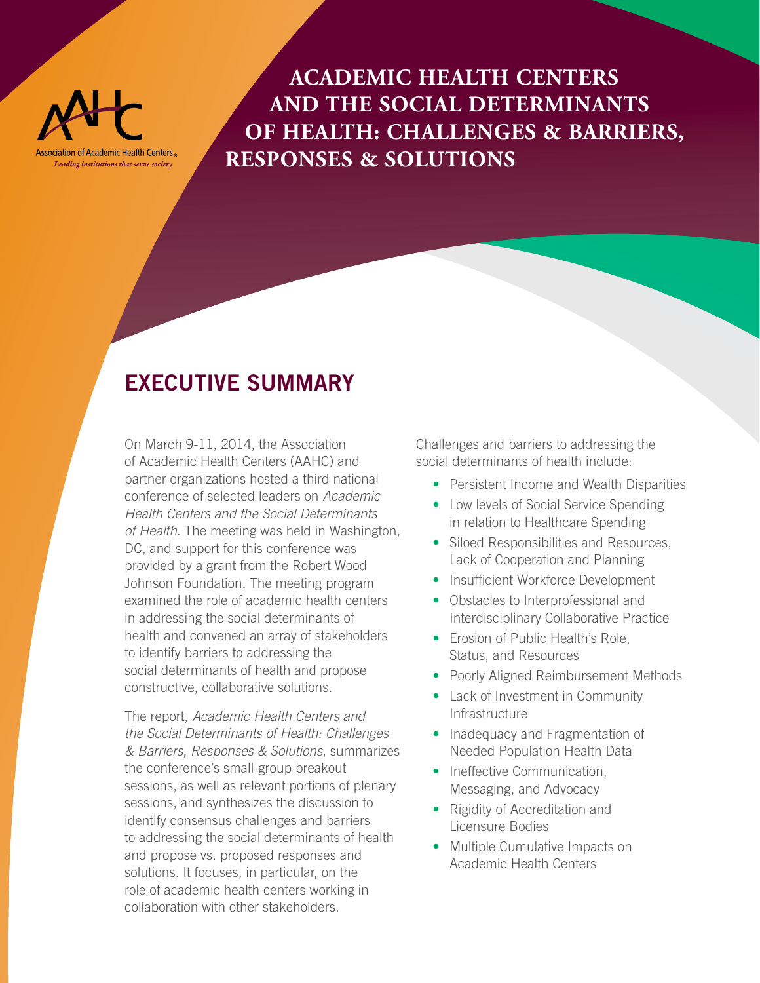

**ACADEMIC HEALTH CENTERS AND THE SOCIAL DETERMINANTS OF HEALTH: CHALLENGES & BARRIERS, RESPONSES & SOLUTIONS**

## **EXECUTIVE SUMMARY**

On March 9-11, 2014, the Association of Academic Health Centers (AAHC) and partner organizations hosted a third national conference of selected leaders on *Academic Health Centers and the Social Determinants of Health*. The meeting was held in Washington, DC, and support for this conference was provided by a grant from the Robert Wood Johnson Foundation. The meeting program examined the role of academic health centers in addressing the social determinants of health and convened an array of stakeholders to identify barriers to addressing the social determinants of health and propose constructive, collaborative solutions.

The report, *Academic Health Centers and the Social Determinants of Health: Challenges & Barriers, Responses & Solutions*, summarizes the conference's small-group breakout sessions, as well as relevant portions of plenary sessions, and synthesizes the discussion to identify consensus challenges and barriers to addressing the social determinants of health and propose vs. proposed responses and solutions. It focuses, in particular, on the role of academic health centers working in collaboration with other stakeholders.

Challenges and barriers to addressing the social determinants of health include:

- Persistent Income and Wealth Disparities
- Low levels of Social Service Spending in relation to Healthcare Spending
- Siloed Responsibilities and Resources, Lack of Cooperation and Planning
- Insufficient Workforce Development
- Obstacles to Interprofessional and Interdisciplinary Collaborative Practice
- Erosion of Public Health's Role. Status, and Resources
- Poorly Aligned Reimbursement Methods
- Lack of Investment in Community Infrastructure
- Inadequacy and Fragmentation of Needed Population Health Data
- Ineffective Communication, Messaging, and Advocacy
- Rigidity of Accreditation and Licensure Bodies
- Multiple Cumulative Impacts on Academic Health Centers